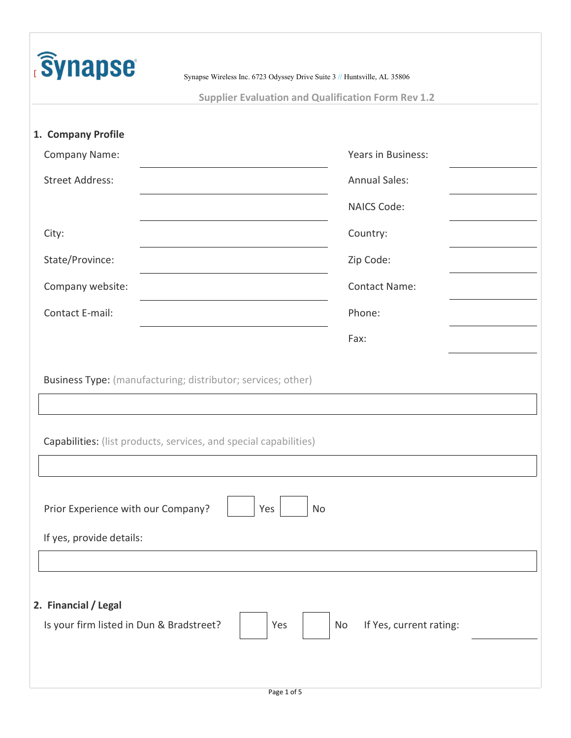| <b>Synapse</b>                                                   | Synapse Wireless Inc. 6723 Odyssey Drive Suite 3 // Huntsville, AL 35806                                                          |  |  |  |  |  |  |  |  |
|------------------------------------------------------------------|-----------------------------------------------------------------------------------------------------------------------------------|--|--|--|--|--|--|--|--|
| <b>Supplier Evaluation and Qualification Form Rev 1.2</b>        |                                                                                                                                   |  |  |  |  |  |  |  |  |
| 1. Company Profile                                               |                                                                                                                                   |  |  |  |  |  |  |  |  |
| Company Name:                                                    | Years in Business:                                                                                                                |  |  |  |  |  |  |  |  |
| <b>Street Address:</b>                                           | <b>Annual Sales:</b>                                                                                                              |  |  |  |  |  |  |  |  |
|                                                                  | <b>NAICS Code:</b>                                                                                                                |  |  |  |  |  |  |  |  |
| City:                                                            | Country:                                                                                                                          |  |  |  |  |  |  |  |  |
| State/Province:                                                  | Zip Code:                                                                                                                         |  |  |  |  |  |  |  |  |
| Company website:                                                 | <b>Contact Name:</b>                                                                                                              |  |  |  |  |  |  |  |  |
| Contact E-mail:                                                  | Phone:                                                                                                                            |  |  |  |  |  |  |  |  |
|                                                                  | Fax:                                                                                                                              |  |  |  |  |  |  |  |  |
|                                                                  | Business Type: (manufacturing; distributor; services; other)<br>Capabilities: (list products, services, and special capabilities) |  |  |  |  |  |  |  |  |
| Prior Experience with our Company?<br>If yes, provide details:   | Yes<br>No                                                                                                                         |  |  |  |  |  |  |  |  |
|                                                                  |                                                                                                                                   |  |  |  |  |  |  |  |  |
| 2. Financial / Legal<br>Is your firm listed in Dun & Bradstreet? | If Yes, current rating:<br>Yes<br>No                                                                                              |  |  |  |  |  |  |  |  |
|                                                                  |                                                                                                                                   |  |  |  |  |  |  |  |  |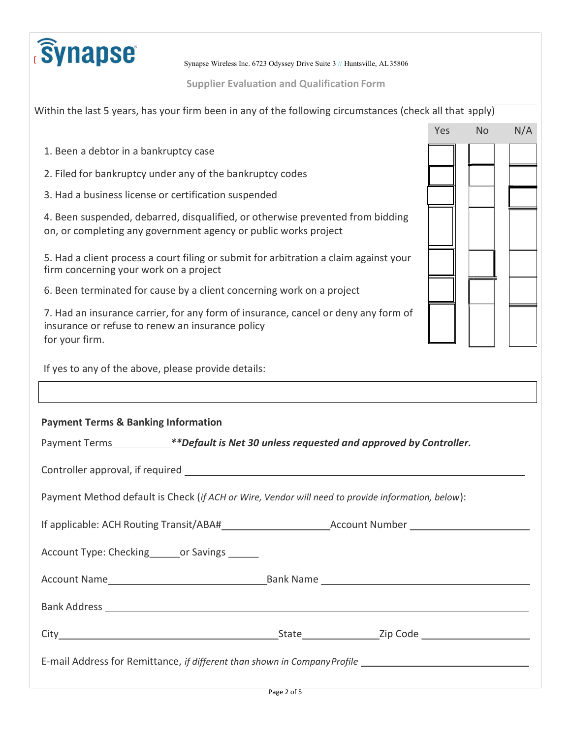

Supplier Evaluation and Qualification Form

| Within the last 5 years, has your firm been in any of the following circumstances (check all that apply)                                                 |  |     |           |     |
|----------------------------------------------------------------------------------------------------------------------------------------------------------|--|-----|-----------|-----|
|                                                                                                                                                          |  | Yes | <b>No</b> | N/A |
| 1. Been a debtor in a bankruptcy case                                                                                                                    |  |     |           |     |
| 2. Filed for bankruptcy under any of the bankruptcy codes                                                                                                |  |     |           |     |
| 3. Had a business license or certification suspended                                                                                                     |  |     |           |     |
| 4. Been suspended, debarred, disqualified, or otherwise prevented from bidding<br>on, or completing any government agency or public works project        |  |     |           |     |
| 5. Had a client process a court filing or submit for arbitration a claim against your<br>firm concerning your work on a project                          |  |     |           |     |
| 6. Been terminated for cause by a client concerning work on a project                                                                                    |  |     |           |     |
| 7. Had an insurance carrier, for any form of insurance, cancel or deny any form of<br>insurance or refuse to renew an insurance policy<br>for your firm. |  |     |           |     |
|                                                                                                                                                          |  |     |           |     |
| If yes to any of the above, please provide details:                                                                                                      |  |     |           |     |
|                                                                                                                                                          |  |     |           |     |
| <b>Payment Terms &amp; Banking Information</b>                                                                                                           |  |     |           |     |
| Payment Terms *** Default is Net 30 unless requested and approved by Controller.                                                                         |  |     |           |     |
|                                                                                                                                                          |  |     |           |     |
| Payment Method default is Check (if ACH or Wire, Vendor will need to provide information, below):                                                        |  |     |           |     |
|                                                                                                                                                          |  |     |           |     |
| Account Type: Checking_______or Savings ______                                                                                                           |  |     |           |     |
|                                                                                                                                                          |  |     |           |     |
|                                                                                                                                                          |  |     |           |     |
|                                                                                                                                                          |  |     |           |     |
|                                                                                                                                                          |  |     |           |     |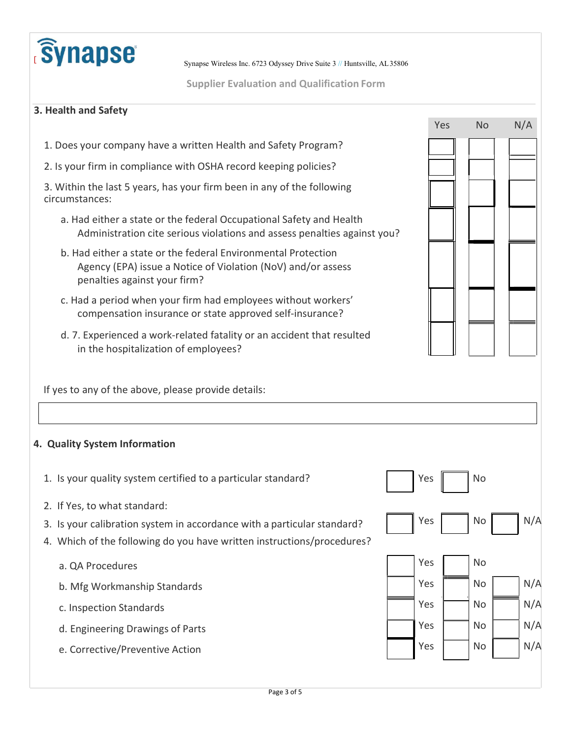

Supplier Evaluation and Qualification Form

## 3. Health and Safety

- 1. Does your company have a written Health and Safety Program?
- 2. Is your firm in compliance with OSHA record keeping policies?

3. Within the last 5 years, has your firm been in any of the following circumstances:

- a. Had either a state or the federal Occupational Safety and Health Administration cite serious violations and assess penalties against you?
- b. Had either a state or the federal Environmental Protection Agency (EPA) issue a Notice of Violation (NoV) and/or assess penalties against your firm?
- c. Had a period when your firm had employees without workers' compensation insurance or state approved self-insurance?
- d. 7. Experienced a work-related fatality or an accident that resulted in the hospitalization of employees?

If yes to any of the above, please provide details:

## 4. Quality System Information

- 1. Is your quality system certified to a particular standard?  $\blacksquare$  Yes  $\blacksquare$  No
- 2. If Yes, to what standard:
- 3. Is your calibration system in accordance with a particular standard?  $\parallel$   $\parallel$  Yes  $\parallel$  No  $\parallel$  N/A
- 4. Which of the following do you have written instructions/procedures?
	- a. QA Procedures No. 2006 No. 2012 12:30 No. 2014 No. 2014 No. 2014 No. 2014 No. 2014 No. 2014 No. 2014 No. 20
	- b. Mfg Workmanship Standards No No Nicolas And No No Nicolas And No Nicolas And No Nicolas And Nicolas And Nicolas And Nicolas And Nicolas And Nicolas And Nicolas And Nicolas And Nicolas And Nicolas And Nicolas And Nicolas
	- c. Inspection Standards N/A
	- d. Engineering Drawings of Parts Yes No N/A
	- e. Corrective/Preventive Action Yes No N/A

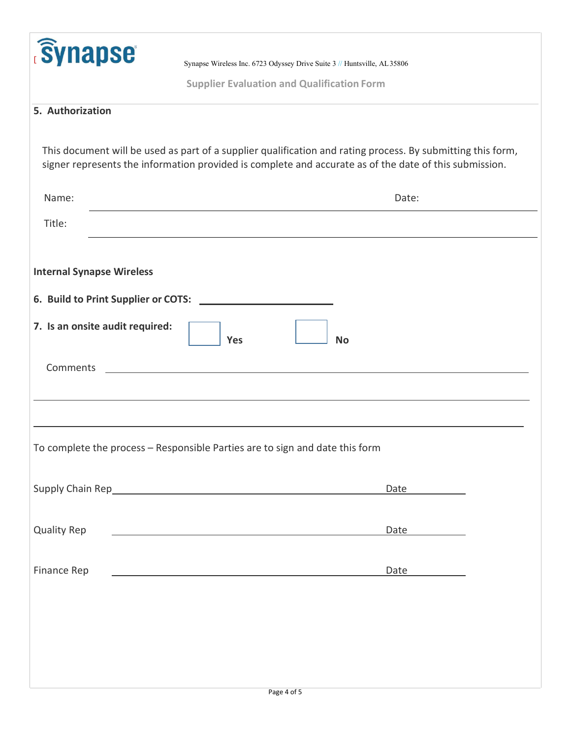| <b>Synapse</b>                   |                                                                                                                                                                                                                               |  |  |  |  |  |
|----------------------------------|-------------------------------------------------------------------------------------------------------------------------------------------------------------------------------------------------------------------------------|--|--|--|--|--|
|                                  | Synapse Wireless Inc. 6723 Odyssey Drive Suite 3 // Huntsville, AL35806                                                                                                                                                       |  |  |  |  |  |
|                                  | <b>Supplier Evaluation and Qualification Form</b>                                                                                                                                                                             |  |  |  |  |  |
| 5. Authorization                 |                                                                                                                                                                                                                               |  |  |  |  |  |
|                                  |                                                                                                                                                                                                                               |  |  |  |  |  |
|                                  | This document will be used as part of a supplier qualification and rating process. By submitting this form,<br>signer represents the information provided is complete and accurate as of the date of this submission.         |  |  |  |  |  |
| Name:                            | Date:                                                                                                                                                                                                                         |  |  |  |  |  |
| Title:                           |                                                                                                                                                                                                                               |  |  |  |  |  |
|                                  |                                                                                                                                                                                                                               |  |  |  |  |  |
| <b>Internal Synapse Wireless</b> |                                                                                                                                                                                                                               |  |  |  |  |  |
|                                  | 6. Build to Print Supplier or COTS:                                                                                                                                                                                           |  |  |  |  |  |
|                                  |                                                                                                                                                                                                                               |  |  |  |  |  |
| 7. Is an onsite audit required:  | Yes<br><b>No</b>                                                                                                                                                                                                              |  |  |  |  |  |
|                                  |                                                                                                                                                                                                                               |  |  |  |  |  |
| Comments                         |                                                                                                                                                                                                                               |  |  |  |  |  |
|                                  |                                                                                                                                                                                                                               |  |  |  |  |  |
|                                  |                                                                                                                                                                                                                               |  |  |  |  |  |
|                                  | To complete the process - Responsible Parties are to sign and date this form                                                                                                                                                  |  |  |  |  |  |
|                                  |                                                                                                                                                                                                                               |  |  |  |  |  |
|                                  | Date and the same of the same of the same of the same of the same of the same of the same of the same of the same of the same of the same of the same of the same of the same of the same of the same of the same of the same |  |  |  |  |  |
|                                  |                                                                                                                                                                                                                               |  |  |  |  |  |
| <b>Quality Rep</b>               | Date                                                                                                                                                                                                                          |  |  |  |  |  |
|                                  |                                                                                                                                                                                                                               |  |  |  |  |  |
| Finance Rep                      | Date                                                                                                                                                                                                                          |  |  |  |  |  |
|                                  |                                                                                                                                                                                                                               |  |  |  |  |  |
|                                  |                                                                                                                                                                                                                               |  |  |  |  |  |
|                                  |                                                                                                                                                                                                                               |  |  |  |  |  |
|                                  |                                                                                                                                                                                                                               |  |  |  |  |  |
|                                  |                                                                                                                                                                                                                               |  |  |  |  |  |
|                                  | Page 4 of 5                                                                                                                                                                                                                   |  |  |  |  |  |